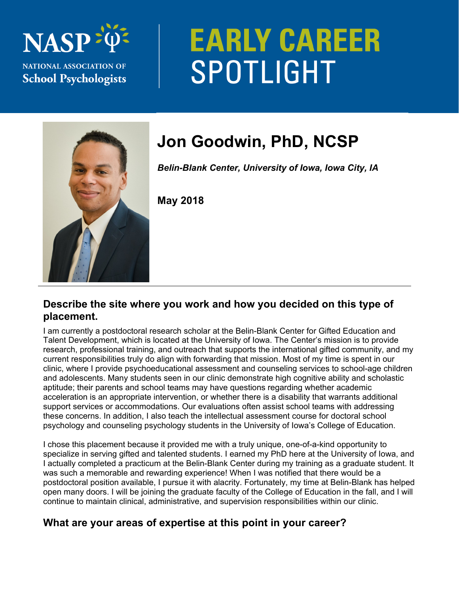

# **EARLY CAREER SPOTLIGHT**



# **Jon Goodwin, PhD, NCSP**

*Belin-Blank Center, University of Iowa, Iowa City, IA* 

**May 2018** 

#### **Describe the site where you work and how you decided on this type of placement.**

I am currently a postdoctoral research scholar at the Belin-Blank Center for Gifted Education and Talent Development, which is located at the University of Iowa. The Center's mission is to provide research, professional training, and outreach that supports the international gifted community, and my current responsibilities truly do align with forwarding that mission. Most of my time is spent in our clinic, where I provide psychoeducational assessment and counseling services to school-age children and adolescents. Many students seen in our clinic demonstrate high cognitive ability and scholastic aptitude; their parents and school teams may have questions regarding whether academic acceleration is an appropriate intervention, or whether there is a disability that warrants additional support services or accommodations. Our evaluations often assist school teams with addressing these concerns. In addition, I also teach the intellectual assessment course for doctoral school psychology and counseling psychology students in the University of Iowa's College of Education.

I chose this placement because it provided me with a truly unique, one-of-a-kind opportunity to specialize in serving gifted and talented students. I earned my PhD here at the University of Iowa, and I actually completed a practicum at the Belin-Blank Center during my training as a graduate student. It was such a memorable and rewarding experience! When I was notified that there would be a postdoctoral position available, I pursue it with alacrity. Fortunately, my time at Belin-Blank has helped open many doors. I will be joining the graduate faculty of the College of Education in the fall, and I will continue to maintain clinical, administrative, and supervision responsibilities within our clinic.

# **What are your areas of expertise at this point in your career?**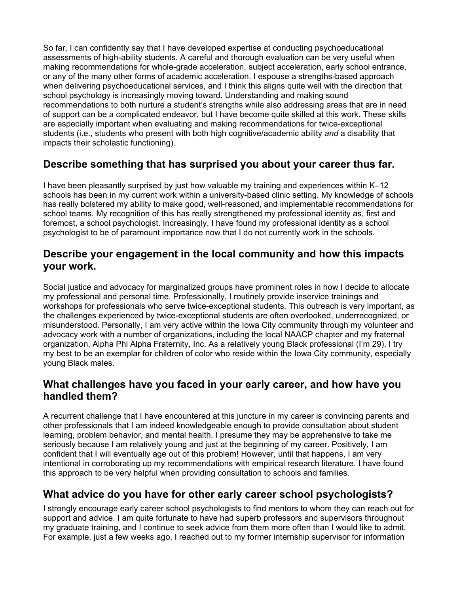So far, I can confidently say that I have developed expertise at conducting psychoeducational assessments of high-ability students. A careful and thorough evaluation can be very useful when making recommendations for whole-grade acceleration, subject acceleration, early school entrance, or any of the many other forms of academic acceleration. I espouse a strengths-based approach when delivering psychoeducational services, and I think this aligns quite well with the direction that school psychology is increasingly moving toward. Understanding and making sound recommendations to both nurture a student's strengths while also addressing areas that are in need of support can be a complicated endeavor, but I have become quite skilled at this work. These skills are especially important when evaluating and making recommendations for twice-exceptional students (i.e., students who present with both high cognitive/academic ability *and* a disability that impacts their scholastic functioning).

# **Describe something that has surprised you about your career thus far.**

I have been pleasantly surprised by just how valuable my training and experiences within K–12 schools has been in my current work within a university-based clinic setting. My knowledge of schools has really bolstered my ability to make good, well-reasoned, and implementable recommendations for school teams. My recognition of this has really strengthened my professional identity as, first and foremost, a school psychologist. Increasingly, I have found my professional identity as a school psychologist to be of paramount importance now that I do not currently work in the schools.

#### **Describe your engagement in the local community and how this impacts your work.**

Social justice and advocacy for marginalized groups have prominent roles in how I decide to allocate my professional and personal time. Professionally, I routinely provide inservice trainings and workshops for professionals who serve twice-exceptional students. This outreach is very important, as the challenges experienced by twice-exceptional students are often overlooked, underrecognized, or misunderstood. Personally, I am very active within the Iowa City community through my volunteer and advocacy work with a number of organizations, including the local NAACP chapter and my fraternal organization, Alpha Phi Alpha Fraternity, Inc. As a relatively young Black professional (I'm 29), I try my best to be an exemplar for children of color who reside within the Iowa City community, especially young Black males.

#### **What challenges have you faced in your early career, and how have you handled them?**

A recurrent challenge that I have encountered at this juncture in my career is convincing parents and other professionals that I am indeed knowledgeable enough to provide consultation about student learning, problem behavior, and mental health. I presume they may be apprehensive to take me seriously because I am relatively young and just at the beginning of my career. Positively, I am confident that I will eventually age out of this problem! However, until that happens, I am very intentional in corroborating up my recommendations with empirical research literature. I have found this approach to be very helpful when providing consultation to schools and families.

### **What advice do you have for other early career school psychologists?**

I strongly encourage early career school psychologists to find mentors to whom they can reach out for support and advice. I am quite fortunate to have had superb professors and supervisors throughout my graduate training, and I continue to seek advice from them more often than I would like to admit. For example, just a few weeks ago, I reached out to my former internship supervisor for information